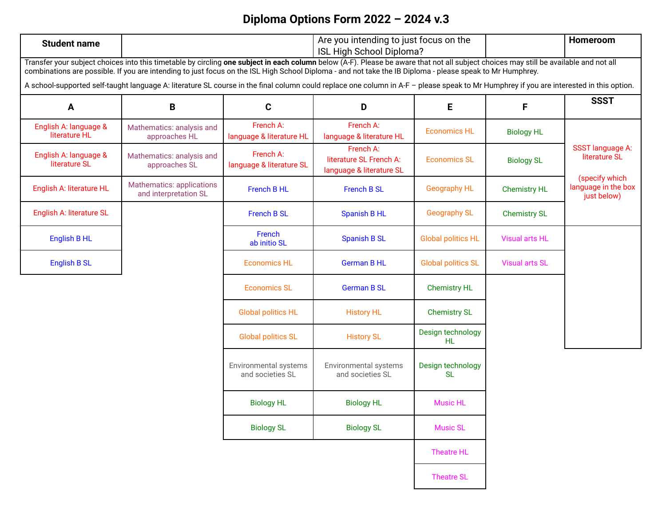## **Diploma Options Form 2022 – 2024 v.3**

|                                                                                                                                                                                                                                                                                                                                                    |                                                           |                                           | ISL High School Diploma?                                         | Are you intending to just focus on the |                       | Homeroom                                             |  |  |  |
|----------------------------------------------------------------------------------------------------------------------------------------------------------------------------------------------------------------------------------------------------------------------------------------------------------------------------------------------------|-----------------------------------------------------------|-------------------------------------------|------------------------------------------------------------------|----------------------------------------|-----------------------|------------------------------------------------------|--|--|--|
| Transfer your subject choices into this timetable by circling one subject in each column below (A-F). Please be aware that not all subject choices may still be available and not all<br>combinations are possible. If you are intending to just focus on the ISL High School Diploma - and not take the IB Diploma - please speak to Mr Humphrey. |                                                           |                                           |                                                                  |                                        |                       |                                                      |  |  |  |
| A school-supported self-taught language A: literature SL course in the final column could replace one column in A-F - please speak to Mr Humphrey if you are interested in this option.                                                                                                                                                            |                                                           |                                           |                                                                  |                                        |                       |                                                      |  |  |  |
| A                                                                                                                                                                                                                                                                                                                                                  | B                                                         | $\mathbf{C}$                              | D                                                                | E                                      | F                     | <b>SSST</b>                                          |  |  |  |
| English A: language &<br>literature HL                                                                                                                                                                                                                                                                                                             | Mathematics: analysis and<br>approaches HL                | French A:<br>language & literature HL     | French A:<br>language & literature HL                            | <b>Economics HL</b>                    | <b>Biology HL</b>     |                                                      |  |  |  |
| English A: language &<br>literature SL                                                                                                                                                                                                                                                                                                             | Mathematics: analysis and<br>approaches SL                | French A:<br>language & literature SL     | French A:<br>literature SL French A:<br>language & literature SL | <b>Economics SL</b>                    | <b>Biology SL</b>     | <b>SSST</b> language A:<br>literature SL             |  |  |  |
| English A: literature HL                                                                                                                                                                                                                                                                                                                           | <b>Mathematics: applications</b><br>and interpretation SL | French B HL                               | <b>French B SL</b>                                               | <b>Geography HL</b>                    | <b>Chemistry HL</b>   | (specify which<br>language in the box<br>just below) |  |  |  |
| English A: literature SL                                                                                                                                                                                                                                                                                                                           |                                                           | <b>French B SL</b>                        | <b>Spanish B HL</b>                                              | <b>Geography SL</b>                    | <b>Chemistry SL</b>   |                                                      |  |  |  |
| English B HL                                                                                                                                                                                                                                                                                                                                       |                                                           | French<br>ab initio SL                    | <b>Spanish B SL</b>                                              | <b>Global politics HL</b>              | <b>Visual arts HL</b> |                                                      |  |  |  |
| <b>English B SL</b>                                                                                                                                                                                                                                                                                                                                |                                                           | <b>Economics HL</b>                       | <b>German B HL</b>                                               | <b>Global politics SL</b>              | <b>Visual arts SL</b> |                                                      |  |  |  |
|                                                                                                                                                                                                                                                                                                                                                    |                                                           | <b>Economics SL</b>                       | <b>German B SL</b>                                               | <b>Chemistry HL</b>                    |                       |                                                      |  |  |  |
|                                                                                                                                                                                                                                                                                                                                                    |                                                           | <b>Global politics HL</b>                 | <b>History HL</b>                                                | <b>Chemistry SL</b>                    |                       |                                                      |  |  |  |
|                                                                                                                                                                                                                                                                                                                                                    |                                                           | <b>Global politics SL</b>                 | <b>History SL</b>                                                | Design technology<br>HL.               |                       |                                                      |  |  |  |
|                                                                                                                                                                                                                                                                                                                                                    |                                                           | Environmental systems<br>and societies SL | Environmental systems<br>and societies SL                        | Design technology<br><b>SL</b>         |                       |                                                      |  |  |  |
|                                                                                                                                                                                                                                                                                                                                                    |                                                           | <b>Biology HL</b>                         | <b>Biology HL</b>                                                | <b>Music HL</b>                        |                       |                                                      |  |  |  |
|                                                                                                                                                                                                                                                                                                                                                    |                                                           | <b>Biology SL</b>                         | <b>Biology SL</b>                                                | <b>Music SL</b>                        |                       |                                                      |  |  |  |
|                                                                                                                                                                                                                                                                                                                                                    |                                                           |                                           |                                                                  | <b>Theatre HL</b>                      |                       |                                                      |  |  |  |
|                                                                                                                                                                                                                                                                                                                                                    |                                                           |                                           |                                                                  | <b>Theatre SL</b>                      |                       |                                                      |  |  |  |